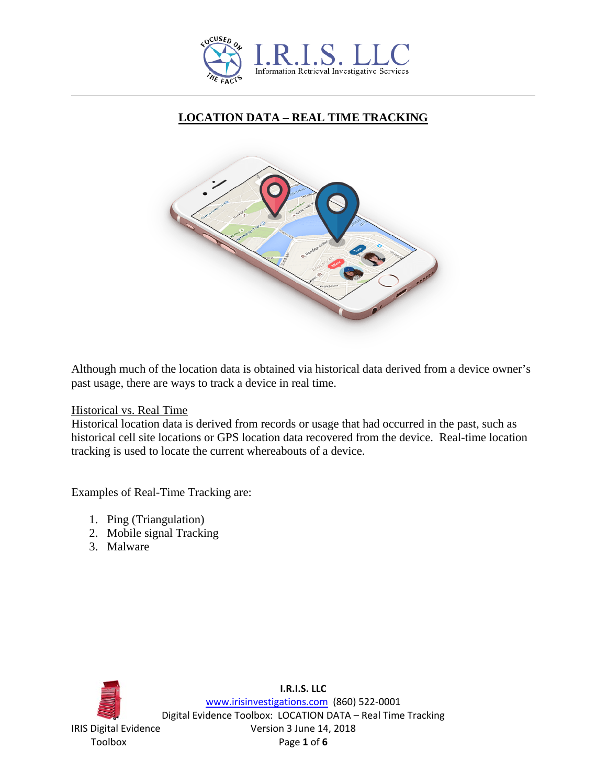

# **LOCATION DATA – REAL TIME TRACKING**



Although much of the location data is obtained via historical data derived from a device owner's past usage, there are ways to track a device in real time.

Historical vs. Real Time

Historical location data is derived from records or usage that had occurred in the past, such as historical cell site locations or GPS location data recovered from the device. Real-time location tracking is used to locate the current whereabouts of a device.

Examples of Real-Time Tracking are:

- 1. Ping (Triangulation)
- 2. Mobile signal Tracking
- 3. Malware

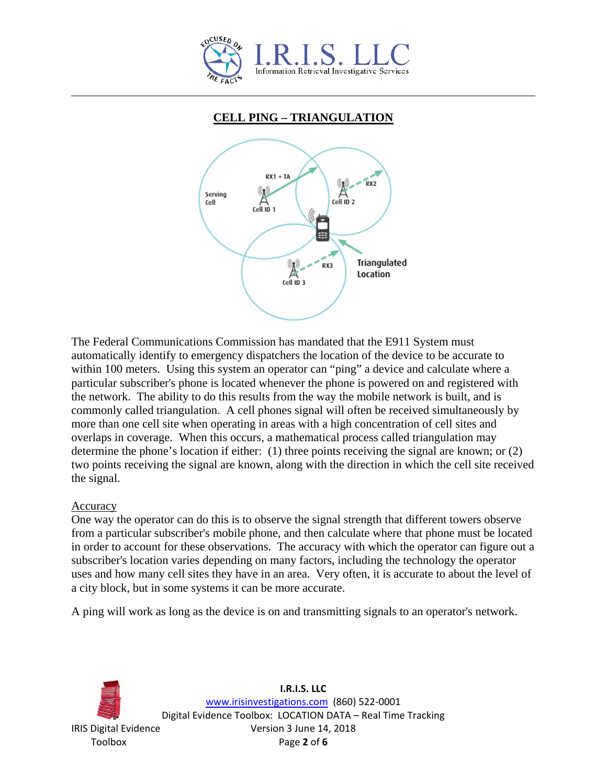

## **CELL PING – TRIANGULATION**



The Federal Communications Commission has mandated that the E911 System must automatically identify to emergency dispatchers the location of the device to be accurate to within 100 meters. Using this system an operator can "ping" a device and calculate where a particular subscriber's phone is located whenever the phone is powered on and registered with the network. The ability to do this results from the way the mobile network is built, and is commonly called triangulation. A cell phones signal will often be received simultaneously by more than one cell site when operating in areas with a high concentration of cell sites and overlaps in coverage. When this occurs, a mathematical process called triangulation may determine the phone's location if either: (1) three points receiving the signal are known; or (2) two points receiving the signal are known, along with the direction in which the cell site received the signal.

### Accuracy

One way the operator can do this is to observe the signal strength that different towers observe from a particular subscriber's mobile phone, and then calculate where that phone must be located in order to account for these observations. The accuracy with which the operator can figure out a subscriber's location varies depending on many factors, including the technology the operator uses and how many cell sites they have in an area. Very often, it is accurate to about the level of a city block, but in some systems it can be more accurate.

A ping will work as long as the device is on and transmitting signals to an operator's network.

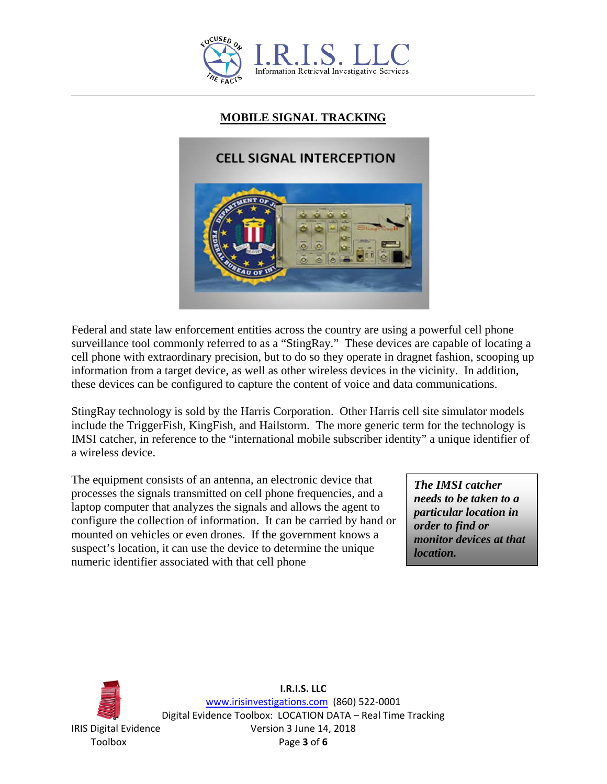

# **MOBILE SIGNAL TRACKING**



Federal and state law enforcement entities across the country are using a powerful cell phone surveillance tool commonly referred to as a "StingRay." These devices are capable of locating a cell phone with extraordinary precision, but to do so they operate in dragnet fashion, scooping up information from a target device, as well as other wireless devices in the vicinity. In addition, these devices can be configured to capture the content of voice and data communications.

StingRay technology is sold by the Harris Corporation. Other Harris cell site simulator models include the TriggerFish, KingFish, and Hailstorm. The more generic term for the technology is IMSI catcher, in reference to the "international mobile subscriber identity" a unique identifier of a wireless device.

The equipment consists of an antenna, an electronic device that processes the signals transmitted on cell phone frequencies, and a laptop computer that analyzes the signals and allows the agent to configure the collection of information. It can be carried by hand or mounted on vehicles or even drones. If the government knows a suspect's location, it can use the device to determine the unique numeric identifier associated with that cell phone

*The IMSI catcher needs to be taken to a particular location in order to find or monitor devices at that location.*



**I.R.I.S. LLC** [www.irisinvestigations.com](http://www.irisinvestigations.com/) (860) 522-0001 Digital Evidence Toolbox: LOCATION DATA – Real Time Tracking IRIS Digital Evidence Version 3 June 14, 2018 Toolbox Page **3** of **6**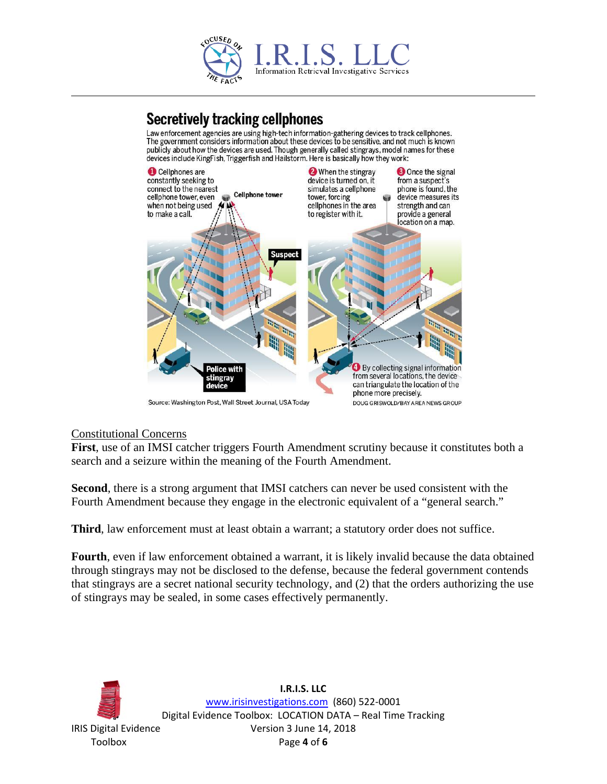

# **Secretively tracking cellphones**

Law enforcement agencies are using high-tech information-gathering devices to track cellphones.<br>The government considers information about these devices to be sensitive, and not much is known publicly about how the devices are used. Though generally called stingrays, model names for these devices include KingFish, Triggerfish and Hailstorm. Here is basically how they work:



Source: Washington Post, Wall Street Journal, USA Today

#### Constitutional Concerns

**First**, use of an IMSI catcher triggers Fourth Amendment scrutiny because it constitutes both a search and a seizure within the meaning of the Fourth Amendment.

**Second**, there is a strong argument that IMSI catchers can never be used consistent with the Fourth Amendment because they engage in the electronic equivalent of a "general search."

**Third**, law enforcement must at least obtain a warrant; a statutory order does not suffice.

**Fourth**, even if law enforcement obtained a warrant, it is likely invalid because the data obtained through stingrays may not be disclosed to the defense, because the federal government contends that stingrays are a secret national security technology, and (2) that the orders authorizing the use of stingrays may be sealed, in some cases effectively permanently.

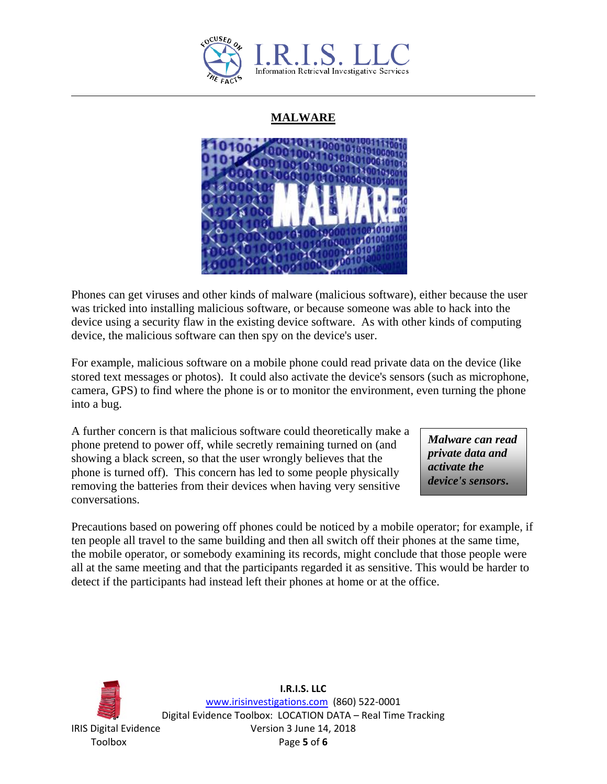

## **MALWARE**



Phones can get viruses and other kinds of malware (malicious software), either because the user was tricked into installing malicious software, or because someone was able to hack into the device using a security flaw in the existing device software. As with other kinds of computing device, the malicious software can then spy on the device's user.

For example, malicious software on a mobile phone could read private data on the device (like stored text messages or photos). It could also activate the device's sensors (such as microphone, camera, GPS) to find where the phone is or to monitor the environment, even turning the phone into a bug.

A further concern is that malicious software could theoretically make a phone pretend to power off, while secretly remaining turned on (and showing a black screen, so that the user wrongly believes that the phone is turned off). This concern has led to some people physically removing the batteries from their devices when having very sensitive conversations.

*Malware can read private data and activate the device's sensors***.**

Precautions based on powering off phones could be noticed by a mobile operator; for example, if ten people all travel to the same building and then all switch off their phones at the same time, the mobile operator, or somebody examining its records, might conclude that those people were all at the same meeting and that the participants regarded it as sensitive. This would be harder to detect if the participants had instead left their phones at home or at the office.



**I.R.I.S. LLC** [www.irisinvestigations.com](http://www.irisinvestigations.com/) (860) 522-0001 Digital Evidence Toolbox: LOCATION DATA – Real Time Tracking